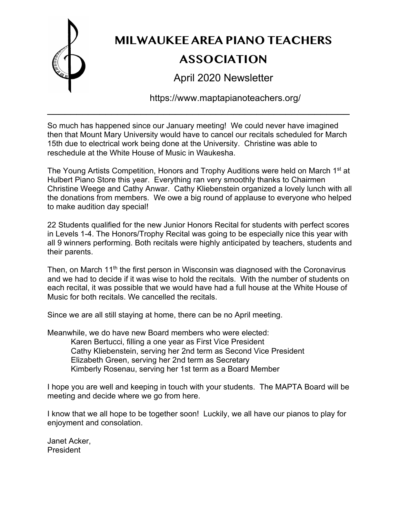

# **MILWAUKEE AREA PIANO TEACHERS ASSOCIATION**

April 2020 Newsletter

https://www.maptapianoteachers.org/

So much has happened since our January meeting! We could never have imagined then that Mount Mary University would have to cancel our recitals scheduled for March 15th due to electrical work being done at the University. Christine was able to reschedule at the White House of Music in Waukesha.

\_\_\_\_\_\_\_\_\_\_\_\_\_\_\_\_\_\_\_\_\_\_\_\_\_\_\_\_\_\_\_\_\_\_\_\_\_\_\_\_\_\_\_\_\_\_\_\_\_\_\_\_

The Young Artists Competition, Honors and Trophy Auditions were held on March 1<sup>st</sup> at Hulbert Piano Store this year. Everything ran very smoothly thanks to Chairmen Christine Weege and Cathy Anwar. Cathy Kliebenstein organized a lovely lunch with all the donations from members. We owe a big round of applause to everyone who helped to make audition day special!

22 Students qualified for the new Junior Honors Recital for students with perfect scores in Levels 1-4. The Honors/Trophy Recital was going to be especially nice this year with all 9 winners performing. Both recitals were highly anticipated by teachers, students and their parents.

Then, on March 11<sup>th</sup> the first person in Wisconsin was diagnosed with the Coronavirus and we had to decide if it was wise to hold the recitals. With the number of students on each recital, it was possible that we would have had a full house at the White House of Music for both recitals. We cancelled the recitals.

Since we are all still staying at home, there can be no April meeting.

Meanwhile, we do have new Board members who were elected: Karen Bertucci, filling a one year as First Vice President Cathy Kliebenstein, serving her 2nd term as Second Vice President Elizabeth Green, serving her 2nd term as Secretary Kimberly Rosenau, serving her 1st term as a Board Member

I hope you are well and keeping in touch with your students. The MAPTA Board will be meeting and decide where we go from here.

I know that we all hope to be together soon! Luckily, we all have our pianos to play for enjoyment and consolation.

Janet Acker, President